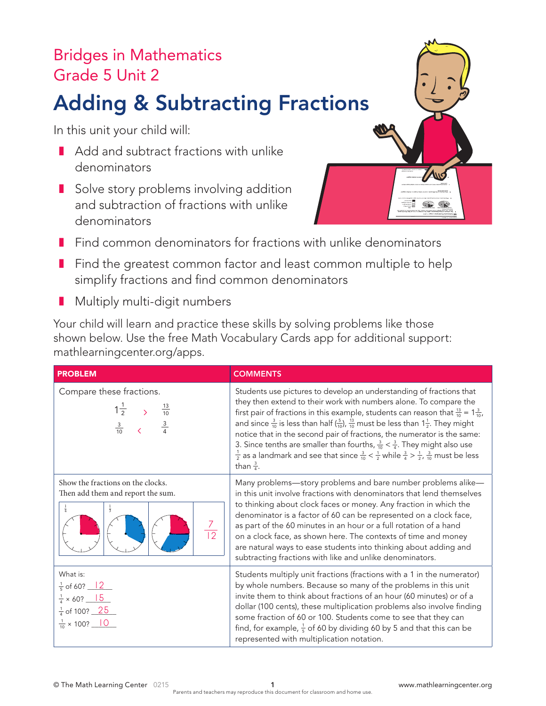## Bridges in Mathematics Grade 5 Unit 2

## Adding & Subtracting Fractions

In this unit your child will:

- Add and subtract fractions with unlike denominators
- Solve story problems involving addition and subtraction of fractions with unlike denominators



- Find common denominators for fractions with unlike denominators
- Find the greatest common factor and least common multiple to help simplify fractions and find common denominators
- Multiply multi-digit numbers

Your child will learn and practice these skills by solving problems like those shown below. Use the free Math Vocabulary Cards app for additional support: mathlearningcenter.org/apps.

| <b>PROBLEM</b>                                                                                                                                                                               | <b>COMMENTS</b>                                                                                                                                                                                                                                                                                                                                                                                                                                                                                                                                                                                                                                                                                                                    |
|----------------------------------------------------------------------------------------------------------------------------------------------------------------------------------------------|------------------------------------------------------------------------------------------------------------------------------------------------------------------------------------------------------------------------------------------------------------------------------------------------------------------------------------------------------------------------------------------------------------------------------------------------------------------------------------------------------------------------------------------------------------------------------------------------------------------------------------------------------------------------------------------------------------------------------------|
| Compare these fractions.<br>$1\frac{1}{2}$ ><br>$\frac{3}{10}$ <                                                                                                                             | Students use pictures to develop an understanding of fractions that<br>they then extend to their work with numbers alone. To compare the<br>first pair of fractions in this example, students can reason that $\frac{13}{10}$ = $1\frac{3}{10}$ ,<br>and since $\frac{3}{10}$ is less than half $(\frac{5}{10})$ , $\frac{13}{10}$ must be less than $1\frac{1}{2}$ . They might<br>notice that in the second pair of fractions, the numerator is the same:<br>3. Since tenths are smaller than fourths, $\frac{3}{10} < \frac{3}{4}$ . They might also use<br>$\frac{1}{2}$ as a landmark and see that since $\frac{3}{10} < \frac{1}{2}$ while $\frac{3}{4} > \frac{1}{2}$ , $\frac{3}{10}$ must be less<br>than $\frac{3}{4}$ . |
| Show the fractions on the clocks.<br>Then add them and report the sum.<br>$\frac{1}{4}$<br>$\frac{1}{3}$<br>$\frac{7}{12}$                                                                   | Many problems-story problems and bare number problems alike-<br>in this unit involve fractions with denominators that lend themselves<br>to thinking about clock faces or money. Any fraction in which the<br>denominator is a factor of 60 can be represented on a clock face,<br>as part of the 60 minutes in an hour or a full rotation of a hand<br>on a clock face, as shown here. The contexts of time and money<br>are natural ways to ease students into thinking about adding and<br>subtracting fractions with like and unlike denominators.                                                                                                                                                                             |
| What is:<br>$\frac{1}{5}$ of 60? $\frac{12}{5}$<br>$\frac{1}{4}$ × 60? $\frac{15}{15}$<br>$\frac{1}{4}$ of 100? $\underline{\hspace{1cm}} 25$<br>$\frac{1}{10}$ × 100? $\frac{1}{\sqrt{10}}$ | Students multiply unit fractions (fractions with a 1 in the numerator)<br>by whole numbers. Because so many of the problems in this unit<br>invite them to think about fractions of an hour (60 minutes) or of a<br>dollar (100 cents), these multiplication problems also involve finding<br>some fraction of 60 or 100. Students come to see that they can<br>find, for example, $\frac{1}{5}$ of 60 by dividing 60 by 5 and that this can be<br>represented with multiplication notation.                                                                                                                                                                                                                                       |